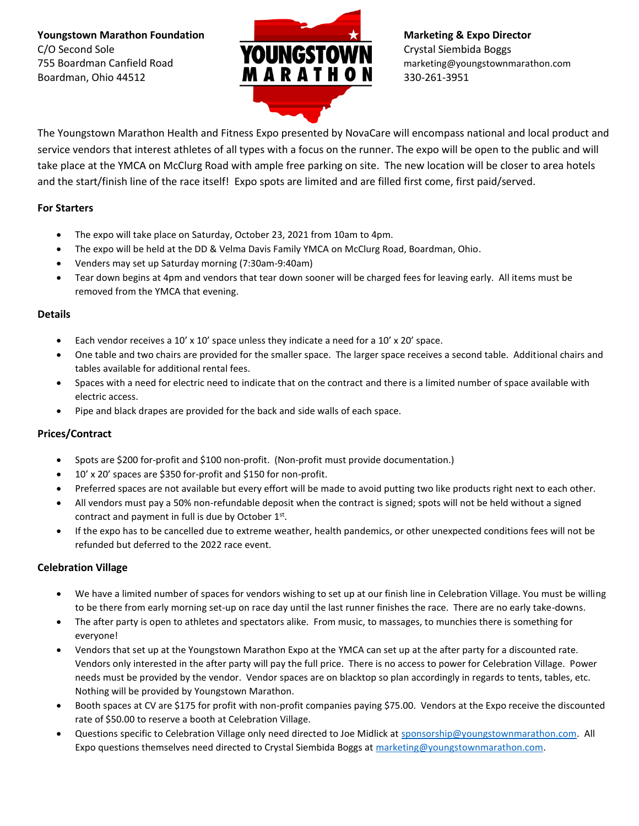**Youngstown Marathon Foundation Marketing & Expo Director** C/O Second Sole Crystal Siembida Boggs<br>
The Roardman Capfield Boad **Crystal Siembida Boggs** Crystal Siembida Boggs 755 Boardman Canfield Road marketing@youngstownmarathon.com  $\overline{M}$  **A R A T H O N** 330-261-3951



The Youngstown Marathon Health and Fitness Expo presented by NovaCare will encompass national and local product and service vendors that interest athletes of all types with a focus on the runner. The expo will be open to the public and will take place at the YMCA on McClurg Road with ample free parking on site. The new location will be closer to area hotels and the start/finish line of the race itself! Expo spots are limited and are filled first come, first paid/served.

### **For Starters**

- The expo will take place on Saturday, October 23, 2021 from 10am to 4pm.
- The expo will be held at the DD & Velma Davis Family YMCA on McClurg Road, Boardman, Ohio.
- Venders may set up Saturday morning (7:30am-9:40am)
- Tear down begins at 4pm and vendors that tear down sooner will be charged fees for leaving early. All items must be removed from the YMCA that evening.

#### **Details**

- Each vendor receives a 10' x 10' space unless they indicate a need for a 10' x 20' space.
- One table and two chairs are provided for the smaller space. The larger space receives a second table. Additional chairs and tables available for additional rental fees.
- Spaces with a need for electric need to indicate that on the contract and there is a limited number of space available with electric access.
- Pipe and black drapes are provided for the back and side walls of each space.

#### **Prices/Contract**

- Spots are \$200 for-profit and \$100 non-profit. (Non-profit must provide documentation.)
- 10' x 20' spaces are \$350 for-profit and \$150 for non-profit.
- Preferred spaces are not available but every effort will be made to avoid putting two like products right next to each other.
- All vendors must pay a 50% non-refundable deposit when the contract is signed; spots will not be held without a signed contract and payment in full is due by October  $1<sup>st</sup>$ .
- If the expo has to be cancelled due to extreme weather, health pandemics, or other unexpected conditions fees will not be refunded but deferred to the 2022 race event.

#### **Celebration Village**

- We have a limited number of spaces for vendors wishing to set up at our finish line in Celebration Village. You must be willing to be there from early morning set-up on race day until the last runner finishes the race. There are no early take-downs.
- The after party is open to athletes and spectators alike. From music, to massages, to munchies there is something for everyone!
- Vendors that set up at the Youngstown Marathon Expo at the YMCA can set up at the after party for a discounted rate. Vendors only interested in the after party will pay the full price. There is no access to power for Celebration Village. Power needs must be provided by the vendor. Vendor spaces are on blacktop so plan accordingly in regards to tents, tables, etc. Nothing will be provided by Youngstown Marathon.
- Booth spaces at CV are \$175 for profit with non-profit companies paying \$75.00. Vendors at the Expo receive the discounted rate of \$50.00 to reserve a booth at Celebration Village.
- Questions specific to Celebration Village only need directed to Joe Midlick a[t sponsorship@youngstownmarathon.com.](mailto:sponsorship@youngstownmarathon.com) All Expo questions themselves need directed to Crystal Siembida Boggs at [marketing@youngstownmarathon.com.](mailto:marketing@youngstownmarathon.com)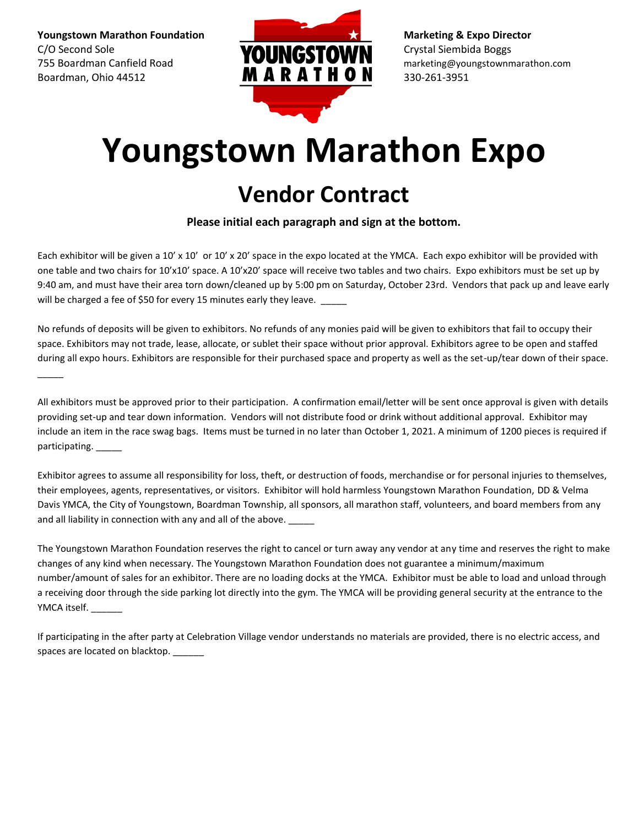**Youngstown Marathon Foundation Marketing & Expo Director** C/O Second Sole Crystal Siembida Boggs<br>
TEE Boardman Canfield Board<br>
TEE Boardman Canfield Board 755 Boardman Canfield Road marketing@youngstownmarathon.com Boardman, Ohio 44512 **MARATHON** 330-261-3951

 $\overline{\phantom{a}}$ 



# **Youngstown Marathon Expo**

## **Vendor Contract**

**Please initial each paragraph and sign at the bottom.**

Each exhibitor will be given a 10' x 10' or 10' x 20' space in the expo located at the YMCA. Each expo exhibitor will be provided with one table and two chairs for 10'x10' space. A 10'x20' space will receive two tables and two chairs. Expo exhibitors must be set up by 9:40 am, and must have their area torn down/cleaned up by 5:00 pm on Saturday, October 23rd. Vendors that pack up and leave early will be charged a fee of \$50 for every 15 minutes early they leave.

No refunds of deposits will be given to exhibitors. No refunds of any monies paid will be given to exhibitors that fail to occupy their space. Exhibitors may not trade, lease, allocate, or sublet their space without prior approval. Exhibitors agree to be open and staffed during all expo hours. Exhibitors are responsible for their purchased space and property as well as the set-up/tear down of their space.

All exhibitors must be approved prior to their participation. A confirmation email/letter will be sent once approval is given with details providing set-up and tear down information. Vendors will not distribute food or drink without additional approval. Exhibitor may include an item in the race swag bags. Items must be turned in no later than October 1, 2021. A minimum of 1200 pieces is required if participating.

Exhibitor agrees to assume all responsibility for loss, theft, or destruction of foods, merchandise or for personal injuries to themselves, their employees, agents, representatives, or visitors. Exhibitor will hold harmless Youngstown Marathon Foundation, DD & Velma Davis YMCA, the City of Youngstown, Boardman Township, all sponsors, all marathon staff, volunteers, and board members from any and all liability in connection with any and all of the above.

The Youngstown Marathon Foundation reserves the right to cancel or turn away any vendor at any time and reserves the right to make changes of any kind when necessary. The Youngstown Marathon Foundation does not guarantee a minimum/maximum number/amount of sales for an exhibitor. There are no loading docks at the YMCA. Exhibitor must be able to load and unload through a receiving door through the side parking lot directly into the gym. The YMCA will be providing general security at the entrance to the YMCA itself.

If participating in the after party at Celebration Village vendor understands no materials are provided, there is no electric access, and spaces are located on blacktop.